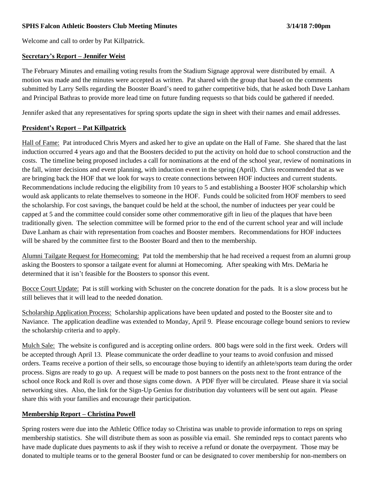Welcome and call to order by Pat Killpatrick.

### **Secretary's Report – Jennifer Weist**

The February Minutes and emailing voting results from the Stadium Signage approval were distributed by email. A motion was made and the minutes were accepted as written. Pat shared with the group that based on the comments submitted by Larry Sells regarding the Booster Board's need to gather competitive bids, that he asked both Dave Lanham and Principal Bathras to provide more lead time on future funding requests so that bids could be gathered if needed.

Jennifer asked that any representatives for spring sports update the sign in sheet with their names and email addresses.

# **President's Report – Pat Killpatrick**

Hall of Fame: Pat introduced Chris Myers and asked her to give an update on the Hall of Fame. She shared that the last induction occurred 4 years ago and that the Boosters decided to put the activity on hold due to school construction and the costs. The timeline being proposed includes a call for nominations at the end of the school year, review of nominations in the fall, winter decisions and event planning, with induction event in the spring (April). Chris recommended that as we are bringing back the HOF that we look for ways to create connections between HOF inductees and current students. Recommendations include reducing the eligibility from 10 years to 5 and establishing a Booster HOF scholarship which would ask applicants to relate themselves to someone in the HOF. Funds could be solicited from HOF members to seed the scholarship. For cost savings, the banquet could be held at the school, the number of inductees per year could be capped at 5 and the committee could consider some other commemorative gift in lieu of the plaques that have been traditionally given. The selection committee will be formed prior to the end of the current school year and will include Dave Lanham as chair with representation from coaches and Booster members. Recommendations for HOF inductees will be shared by the committee first to the Booster Board and then to the membership.

Alumni Tailgate Request for Homecoming: Pat told the membership that he had received a request from an alumni group asking the Boosters to sponsor a tailgate event for alumni at Homecoming. After speaking with Mrs. DeMaria he determined that it isn't feasible for the Boosters to sponsor this event.

Bocce Court Update: Pat is still working with Schuster on the concrete donation for the pads. It is a slow process but he still believes that it will lead to the needed donation.

Scholarship Application Process: Scholarship applications have been updated and posted to the Booster site and to Naviance. The application deadline was extended to Monday, April 9. Please encourage college bound seniors to review the scholarship criteria and to apply.

Mulch Sale: The website is configured and is accepting online orders. 800 bags were sold in the first week. Orders will be accepted through April 13. Please communicate the order deadline to your teams to avoid confusion and missed orders. Teams receive a portion of their sells, so encourage those buying to identify an athlete/sports team during the order process. Signs are ready to go up. A request will be made to post banners on the posts next to the front entrance of the school once Rock and Roll is over and those signs come down. A PDF flyer will be circulated. Please share it via social networking sites. Also, the link for the Sign-Up Genius for distribution day volunteers will be sent out again. Please share this with your families and encourage their participation.

### **Membership Report – Christina Powell**

Spring rosters were due into the Athletic Office today so Christina was unable to provide information to reps on spring membership statistics. She will distribute them as soon as possible via email. She reminded reps to contact parents who have made duplicate dues payments to ask if they wish to receive a refund or donate the overpayment. Those may be donated to multiple teams or to the general Booster fund or can be designated to cover membership for non-members on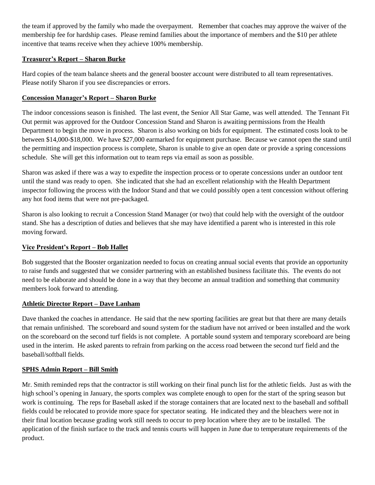the team if approved by the family who made the overpayment. Remember that coaches may approve the waiver of the membership fee for hardship cases. Please remind families about the importance of members and the \$10 per athlete incentive that teams receive when they achieve 100% membership.

# **Treasurer's Report – Sharon Burke**

Hard copies of the team balance sheets and the general booster account were distributed to all team representatives. Please notify Sharon if you see discrepancies or errors.

# **Concession Manager's Report – Sharon Burke**

The indoor concessions season is finished. The last event, the Senior All Star Game, was well attended. The Tennant Fit Out permit was approved for the Outdoor Concession Stand and Sharon is awaiting permissions from the Health Department to begin the move in process. Sharon is also working on bids for equipment. The estimated costs look to be between \$14,000-\$18,000. We have \$27,000 earmarked for equipment purchase. Because we cannot open the stand until the permitting and inspection process is complete, Sharon is unable to give an open date or provide a spring concessions schedule. She will get this information out to team reps via email as soon as possible.

Sharon was asked if there was a way to expedite the inspection process or to operate concessions under an outdoor tent until the stand was ready to open. She indicated that she had an excellent relationship with the Health Department inspector following the process with the Indoor Stand and that we could possibly open a tent concession without offering any hot food items that were not pre-packaged.

Sharon is also looking to recruit a Concession Stand Manager (or two) that could help with the oversight of the outdoor stand. She has a description of duties and believes that she may have identified a parent who is interested in this role moving forward.

### **Vice President's Report – Bob Hallet**

Bob suggested that the Booster organization needed to focus on creating annual social events that provide an opportunity to raise funds and suggested that we consider partnering with an established business facilitate this. The events do not need to be elaborate and should be done in a way that they become an annual tradition and something that community members look forward to attending.

### **Athletic Director Report – Dave Lanham**

Dave thanked the coaches in attendance. He said that the new sporting facilities are great but that there are many details that remain unfinished. The scoreboard and sound system for the stadium have not arrived or been installed and the work on the scoreboard on the second turf fields is not complete. A portable sound system and temporary scoreboard are being used in the interim. He asked parents to refrain from parking on the access road between the second turf field and the baseball/softball fields.

### **SPHS Admin Report – Bill Smith**

Mr. Smith reminded reps that the contractor is still working on their final punch list for the athletic fields. Just as with the high school's opening in January, the sports complex was complete enough to open for the start of the spring season but work is continuing. The reps for Baseball asked if the storage containers that are located next to the baseball and softball fields could be relocated to provide more space for spectator seating. He indicated they and the bleachers were not in their final location because grading work still needs to occur to prep location where they are to be installed. The application of the finish surface to the track and tennis courts will happen in June due to temperature requirements of the product.